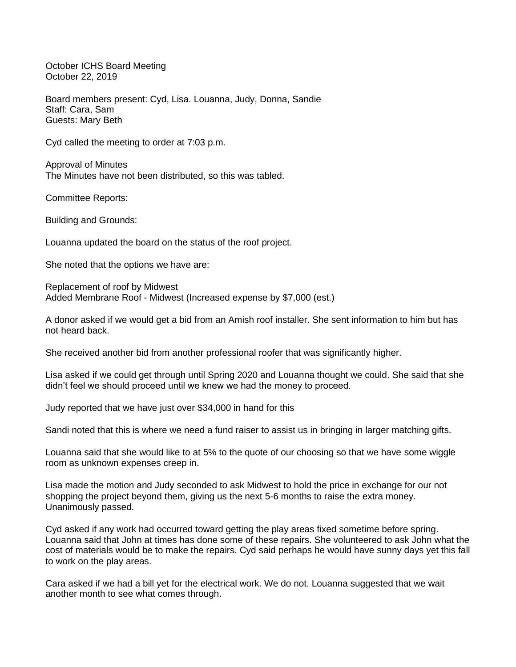October ICHS Board Meeting October 22, 2019

Board members present: Cyd, Lisa. Louanna, Judy, Donna, Sandie Staff: Cara, Sam Guests: Mary Beth

Cyd called the meeting to order at 7:03 p.m.

Approval of Minutes The Minutes have not been distributed, so this was tabled.

Committee Reports:

Building and Grounds:

Louanna updated the board on the status of the roof project.

She noted that the options we have are:

Replacement of roof by Midwest Added Membrane Roof - Midwest (Increased expense by \$7,000 (est.)

A donor asked if we would get a bid from an Amish roof installer. She sent information to him but has not heard back.

She received another bid from another professional roofer that was significantly higher.

Lisa asked if we could get through until Spring 2020 and Louanna thought we could. She said that she didn't feel we should proceed until we knew we had the money to proceed.

Judy reported that we have just over \$34,000 in hand for this

Sandi noted that this is where we need a fund raiser to assist us in bringing in larger matching gifts.

Louanna said that she would like to at 5% to the quote of our choosing so that we have some wiggle room as unknown expenses creep in.

Lisa made the motion and Judy seconded to ask Midwest to hold the price in exchange for our not shopping the project beyond them, giving us the next 5-6 months to raise the extra money. Unanimously passed.

Cyd asked if any work had occurred toward getting the play areas fixed sometime before spring. Louanna said that John at times has done some of these repairs. She volunteered to ask John what the cost of materials would be to make the repairs. Cyd said perhaps he would have sunny days yet this fall to work on the play areas.

Cara asked if we had a bill yet for the electrical work. We do not. Louanna suggested that we wait another month to see what comes through.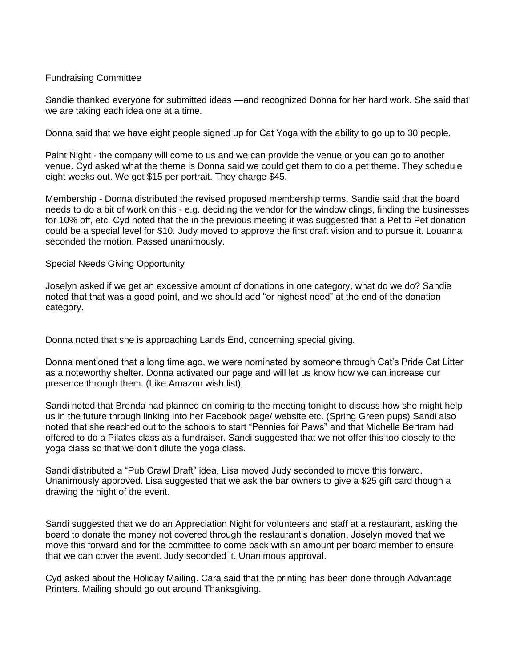## Fundraising Committee

Sandie thanked everyone for submitted ideas —and recognized Donna for her hard work. She said that we are taking each idea one at a time.

Donna said that we have eight people signed up for Cat Yoga with the ability to go up to 30 people.

Paint Night - the company will come to us and we can provide the venue or you can go to another venue. Cyd asked what the theme is Donna said we could get them to do a pet theme. They schedule eight weeks out. We got \$15 per portrait. They charge \$45.

Membership - Donna distributed the revised proposed membership terms. Sandie said that the board needs to do a bit of work on this - e.g. deciding the vendor for the window clings, finding the businesses for 10% off, etc. Cyd noted that the in the previous meeting it was suggested that a Pet to Pet donation could be a special level for \$10. Judy moved to approve the first draft vision and to pursue it. Louanna seconded the motion. Passed unanimously.

## Special Needs Giving Opportunity

Joselyn asked if we get an excessive amount of donations in one category, what do we do? Sandie noted that that was a good point, and we should add "or highest need" at the end of the donation category.

Donna noted that she is approaching Lands End, concerning special giving.

Donna mentioned that a long time ago, we were nominated by someone through Cat's Pride Cat Litter as a noteworthy shelter. Donna activated our page and will let us know how we can increase our presence through them. (Like Amazon wish list).

Sandi noted that Brenda had planned on coming to the meeting tonight to discuss how she might help us in the future through linking into her Facebook page/ website etc. (Spring Green pups) Sandi also noted that she reached out to the schools to start "Pennies for Paws" and that Michelle Bertram had offered to do a Pilates class as a fundraiser. Sandi suggested that we not offer this too closely to the yoga class so that we don't dilute the yoga class.

Sandi distributed a "Pub Crawl Draft" idea. Lisa moved Judy seconded to move this forward. Unanimously approved. Lisa suggested that we ask the bar owners to give a \$25 gift card though a drawing the night of the event.

Sandi suggested that we do an Appreciation Night for volunteers and staff at a restaurant, asking the board to donate the money not covered through the restaurant's donation. Joselyn moved that we move this forward and for the committee to come back with an amount per board member to ensure that we can cover the event. Judy seconded it. Unanimous approval.

Cyd asked about the Holiday Mailing. Cara said that the printing has been done through Advantage Printers. Mailing should go out around Thanksgiving.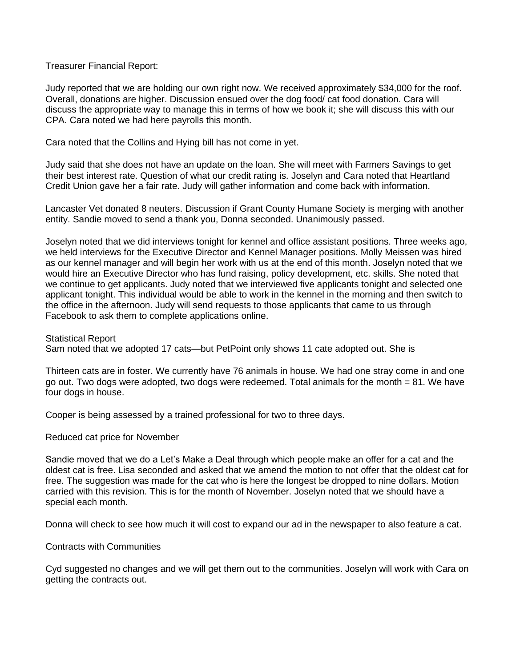Treasurer Financial Report:

Judy reported that we are holding our own right now. We received approximately \$34,000 for the roof. Overall, donations are higher. Discussion ensued over the dog food/ cat food donation. Cara will discuss the appropriate way to manage this in terms of how we book it; she will discuss this with our CPA. Cara noted we had here payrolls this month.

Cara noted that the Collins and Hying bill has not come in yet.

Judy said that she does not have an update on the loan. She will meet with Farmers Savings to get their best interest rate. Question of what our credit rating is. Joselyn and Cara noted that Heartland Credit Union gave her a fair rate. Judy will gather information and come back with information.

Lancaster Vet donated 8 neuters. Discussion if Grant County Humane Society is merging with another entity. Sandie moved to send a thank you, Donna seconded. Unanimously passed.

Joselyn noted that we did interviews tonight for kennel and office assistant positions. Three weeks ago, we held interviews for the Executive Director and Kennel Manager positions. Molly Meissen was hired as our kennel manager and will begin her work with us at the end of this month. Joselyn noted that we would hire an Executive Director who has fund raising, policy development, etc. skills. She noted that we continue to get applicants. Judy noted that we interviewed five applicants tonight and selected one applicant tonight. This individual would be able to work in the kennel in the morning and then switch to the office in the afternoon. Judy will send requests to those applicants that came to us through Facebook to ask them to complete applications online.

Statistical Report Sam noted that we adopted 17 cats—but PetPoint only shows 11 cate adopted out. She is

Thirteen cats are in foster. We currently have 76 animals in house. We had one stray come in and one go out. Two dogs were adopted, two dogs were redeemed. Total animals for the month = 81. We have four dogs in house.

Cooper is being assessed by a trained professional for two to three days.

Reduced cat price for November

Sandie moved that we do a Let's Make a Deal through which people make an offer for a cat and the oldest cat is free. Lisa seconded and asked that we amend the motion to not offer that the oldest cat for free. The suggestion was made for the cat who is here the longest be dropped to nine dollars. Motion carried with this revision. This is for the month of November. Joselyn noted that we should have a special each month.

Donna will check to see how much it will cost to expand our ad in the newspaper to also feature a cat.

Contracts with Communities

Cyd suggested no changes and we will get them out to the communities. Joselyn will work with Cara on getting the contracts out.